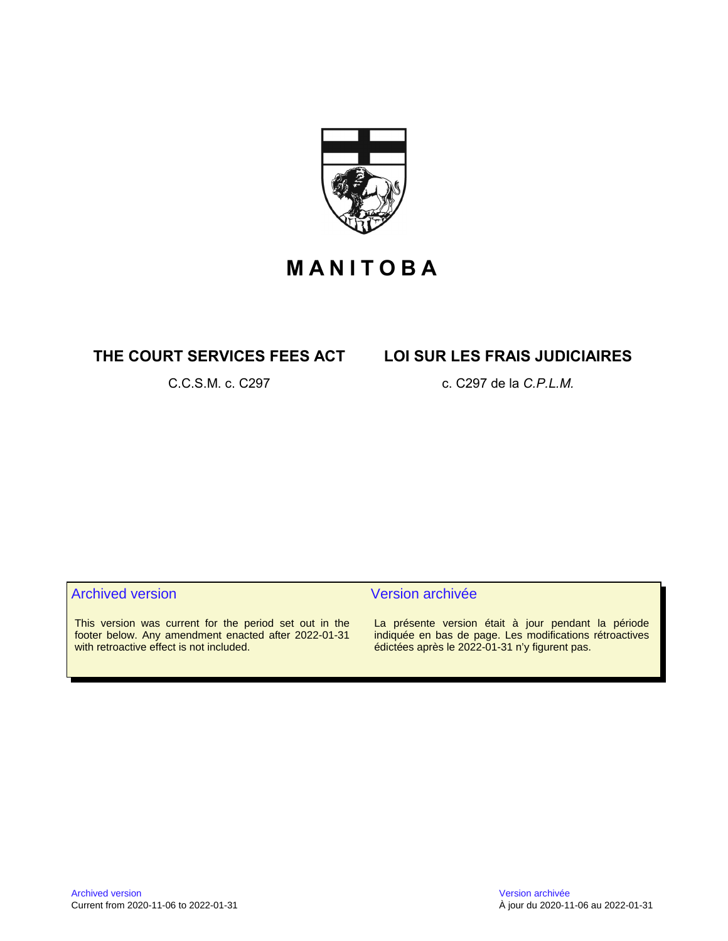

# **M A N I T O B A**

# **THE COURT SERVICES FEES ACT LOI SUR LES FRAIS JUDICIAIRES**

C.C.S.M. c. C297 c. C297 de la *C.P.L.M.*

# Archived version and version archivée

This version was current for the period set out in the footer below. Any amendment enacted after 2022-01-31 with retroactive effect is not included.

La présente version était à jour pendant la période indiquée en bas de page. Les modifications rétroactives édictées après le 2022-01-31 n'y figurent pas.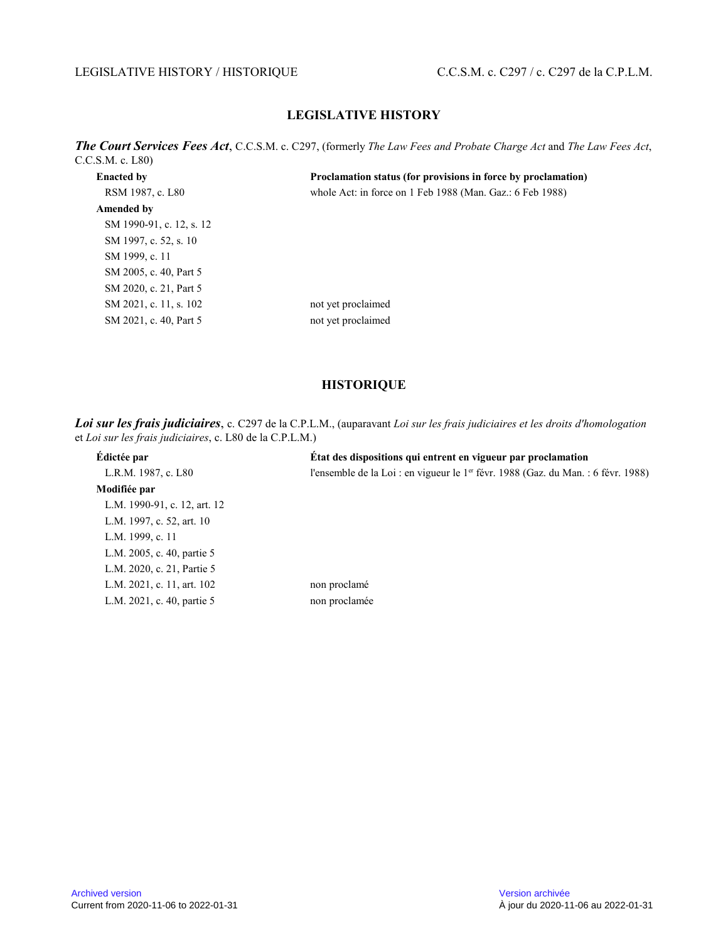### LEGISLATIVE HISTORY / HISTORIQUE C.C.S.M. c. C297 / c. C297 de la C.P.L.M.

# **LEGISLATIVE HISTORY**

*The Court Services Fees Act*, C.C.S.M. c. C297, (formerly *The Law Fees and Probate Charge Act* and *The Law Fees Act* , C.C.S.M. c. L80)

| <b>Enacted by</b>        | Proclamation status (for provisions in force by proclamation) |
|--------------------------|---------------------------------------------------------------|
| RSM 1987, c. L80         | whole Act: in force on 1 Feb 1988 (Man. Gaz.: 6 Feb 1988)     |
| Amended by               |                                                               |
| SM 1990-91, c. 12, s. 12 |                                                               |
| SM 1997, c. 52, s. 10    |                                                               |
| SM 1999, c. 11           |                                                               |
| SM 2005, c. 40, Part 5   |                                                               |
| SM 2020, c. 21, Part 5   |                                                               |
| SM 2021, c. 11, s. 102   | not yet proclaimed                                            |
| SM 2021, c. 40, Part 5   | not yet proclaimed                                            |
|                          |                                                               |

# **HISTORIQUE**

*Loi sur les frais judiciaires*, c. C297 de la C.P.L.M., (auparavant *Loi sur les frais judiciaires et les droits d'homologation* et *Loi sur les frais judiciaires*, c. L80 de la C.P.L.M.)

| Édictée par                  | État des dispositions qui entrent en vigueur par proclamation                                 |
|------------------------------|-----------------------------------------------------------------------------------------------|
| L.R.M. 1987, c. L80          | l'ensemble de la Loi : en vigueur le 1 <sup>er</sup> févr. 1988 (Gaz. du Man. : 6 févr. 1988) |
| Modifiée par                 |                                                                                               |
| L.M. 1990-91, c. 12, art. 12 |                                                                                               |
| L.M. 1997, c. 52, art. 10    |                                                                                               |
| L.M. 1999, c. 11             |                                                                                               |
| L.M. 2005, c. 40, partie 5   |                                                                                               |
| L.M. 2020, c. 21, Partie 5   |                                                                                               |
| L.M. 2021, c. 11, art. 102   | non proclamé                                                                                  |
| L.M. 2021, c. 40, partie 5   | non proclamée                                                                                 |
|                              |                                                                                               |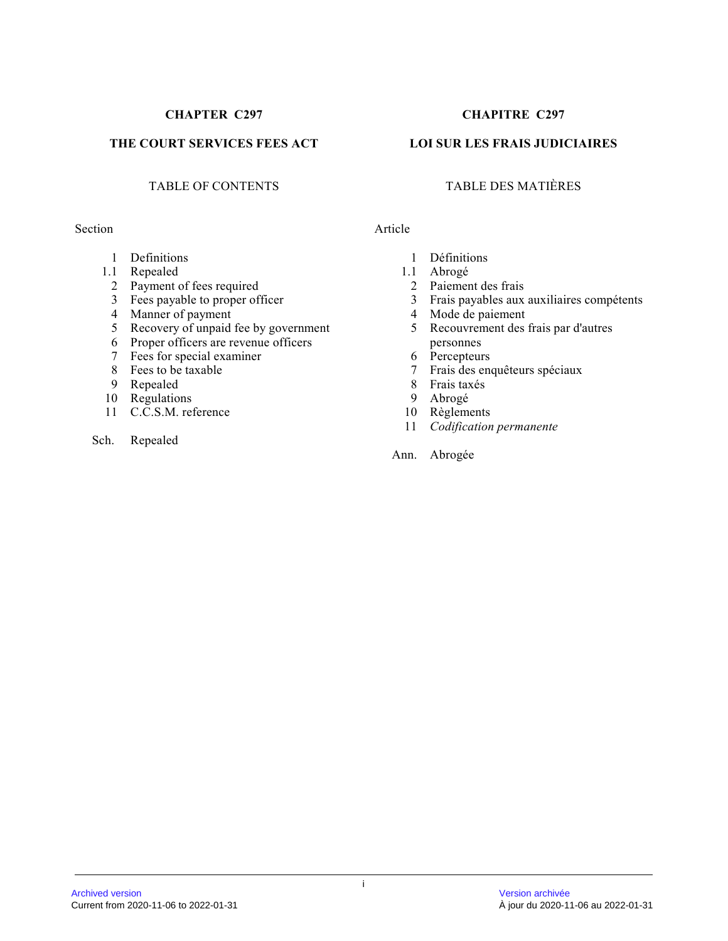# **THE COURT SERVICES FEES ACT LOI SUR LES FRAIS JUDICIAIRES**

#### Section Article

- 1 Definitions
- 1.1 Repealed
	- 2 Payment of fees required
	- 3 Fees payable to proper officer
	- 4 Manner of payment
	- 5 Recovery of unpaid fee by government
	- 6 Proper officers are revenue officers
	- 7 Fees for special examiner
	- 8 Fees to be taxable
	- 9 Repealed
- 10 Regulations
- 11 C.C.S.M. reference
- Sch. Repealed

# **CHAPTER C297 CHAPITRE C297**

# TABLE OF CONTENTS TABLE DES MATIÈRES

- 1 Définitions
- 1.1 Abrogé
	- 2 Paiement des frais
	- 3 Frais payables aux auxiliaires compétents
	- 4 Mode de paiement
	- 5 Recouvrement des frais par d'autres personnes
	- 6 Percepteurs
	- 7 Frais des enquêteurs spéciaux
	- 8 Frais taxés<br>9 Abrogé
	- 9 Abrogé
	- 10 Règlements
	- 11 *Codification permanente*

Ann. Abrogée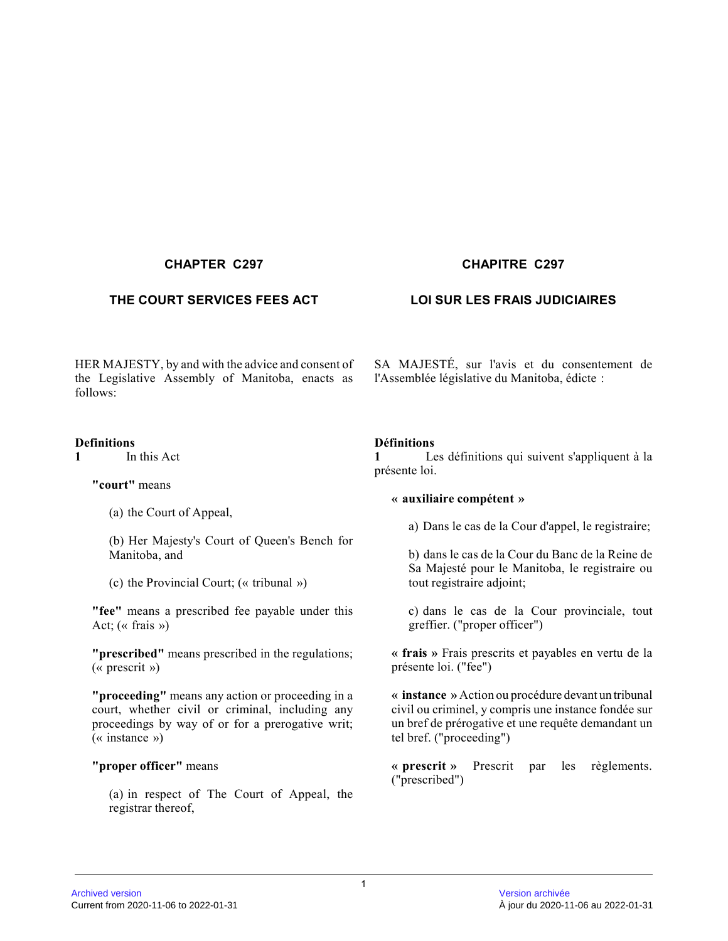# **THE COURT SERVICES FEES ACT LOI SUR LES FRAIS JUDICIAIRES**

HER MAJESTY, by and with the advice and consent of the Legislative Assembly of Manitoba, enacts as follows:

#### **Definitions**

**1** In this Act

**"court"** means

(a) the Court of Appeal,

(b) Her Majesty's Court of Queen's Bench for Manitoba, and

(c) the Provincial Court; (« tribunal »)

**"fee"** means a prescribed fee payable under this Act; (« frais »)

**"prescribed"** means prescribed in the regulations; (« prescrit »)

**"proceeding"** means any action or proceeding in a court, whether civil or criminal, including any proceedings by way of or for a prerogative writ; (« instance »)

#### **"proper officer"** means

(a) in respect of The Court of Appeal, the registrar thereof,

# **CHAPTER C297 CHAPITRE C297**

SA MAJESTÉ, sur l'avis et du consentement de l'Assemblée législative du Manitoba, édicte :

### **Définitions**

**1** Les définitions qui suivent s'appliquent à la présente loi.

#### **« auxiliaire compétent »**

a) Dans le cas de la Cour d'appel, le registraire;

b) dans le cas de la Cour du Banc de la Reine de Sa Majesté pour le Manitoba, le registraire ou tout registraire adjoint;

c) dans le cas de la Cour provinciale, tout greffier. ("proper officer")

**« frais »** Frais prescrits et payables en vertu de la présente loi. ("fee")

**« instance »** Action ou procédure devant un tribunal civil ou criminel, y compris une instance fondée sur un bref de prérogative et une requête demandant un tel bref. ("proceeding")

**« prescrit »** Prescrit par les règlements. ("prescribed")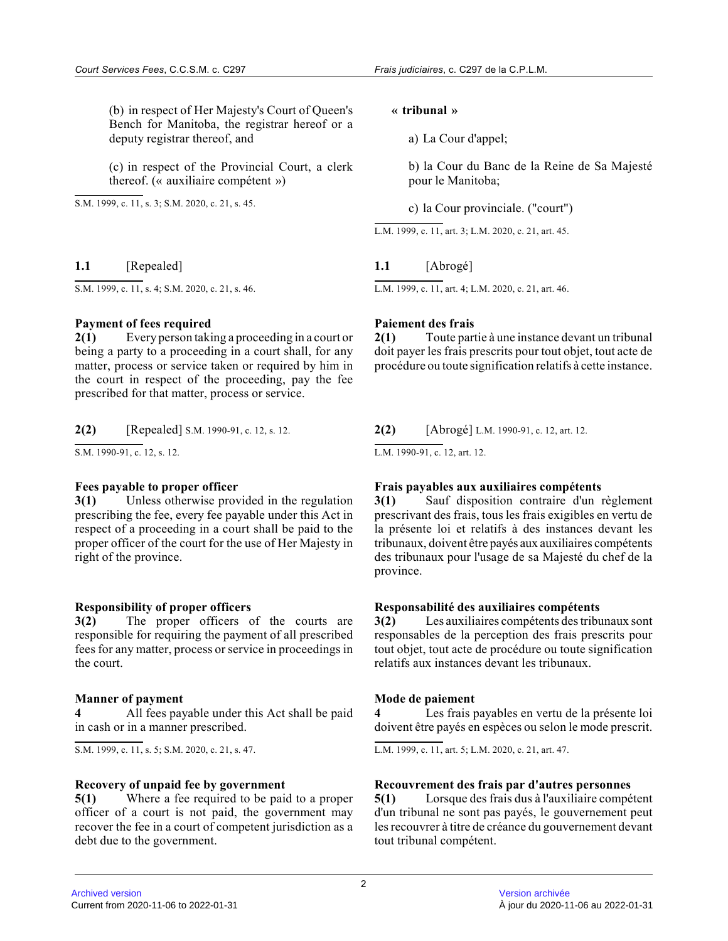(b) in respect of Her Majesty's Court of Queen's Bench for Manitoba, the registrar hereof or a deputy registrar thereof, and

(c) in respect of the Provincial Court, a clerk thereof. (« auxiliaire compétent »)

S.M. 1999, c. 11, s. 3; S.M. 2020, c. 21, s. 45.

**1.1** [Repealed]

S.M. 1999, c. 11, s. 4; S.M. 2020, c. 21, s. 46.

#### **Payment of fees required**

**2(1)** Every person taking a proceeding in a court or being a party to a proceeding in a court shall, for any matter, process or service taken or required by him in the court in respect of the proceeding, pay the fee prescribed for that matter, process or service.

**2(2)** [Repealed] S.M. 1990-91, c. 12, s. 12.

S.M. 1990-91, c. 12, s. 12.

# **Fees payable to proper officer**

**3(1)** Unless otherwise provided in the regulation prescribing the fee, every fee payable under this Act in respect of a proceeding in a court shall be paid to the proper officer of the court for the use of Her Majesty in right of the province.

#### **Responsibility of proper officers**

**3(2)** The proper officers of the courts are responsible for requiring the payment of all prescribed fees for any matter, process or service in proceedings in the court.

#### **Manner of payment**

**4** All fees payable under this Act shall be paid in cash or in a manner prescribed.

S.M. 1999, c. 11, s. 5; S.M. 2020, c. 21, s. 47.

#### **Recovery of unpaid fee by government**

**5(1)** Where a fee required to be paid to a proper officer of a court is not paid, the government may recover the fee in a court of competent jurisdiction as a debt due to the government.

#### **« tribunal »**

a) La Cour d'appel;

b) la Cour du Banc de la Reine de Sa Majesté pour le Manitoba;

c) la Cour provinciale. ("court")

L.M. 1999, c. 11, art. 3; L.M. 2020, c. 21, art. 45 .

# **1.1** [Abrogé]

L.M. 1999, c. 11, art. 4; L.M. 2020, c. 21, art. 46 .

#### **Paiement des frais**

**2(1)** Toute partie à une instance devant un tribunal doit payer les frais prescrits pour tout objet, tout acte de procédure ou toute signification relatifs à cette instance.

**2(2)** [Abrogé] L.M. 1990-91, c. 12, art. 12.

L.M. 1990-91, c. 12, art. 12.

#### **Frais payables aux auxiliaires compétents**

**3(1)** Sauf disposition contraire d'un règlement prescrivant des frais, tous les frais exigibles en vertu de la présente loi et relatifs à des instances devant les tribunaux, doivent être payés aux auxiliaires compétents des tribunaux pour l'usage de sa Majesté du chef de la province.

#### **Responsabilité des auxiliaires compétents**

**3(2)** Les auxiliaires compétents des tribunaux sont responsables de la perception des frais prescrits pour tout objet, tout acte de procédure ou toute signification relatifs aux instances devant les tribunaux.

#### **Mode de paiement**

**4** Les frais payables en vertu de la présente loi doivent être payés en espèces ou selon le mode prescrit.

L.M. 1999, c. 11, art. 5; L.M. 2020, c. 21, art. 47 .

#### **Recouvrement des frais par d'autres personnes**

**5(1)** Lorsque des frais dus à l'auxiliaire compétent d'un tribunal ne sont pas payés, le gouvernement peu t les recouvrer à titre de créance du gouvernement devan t tout tribunal compétent.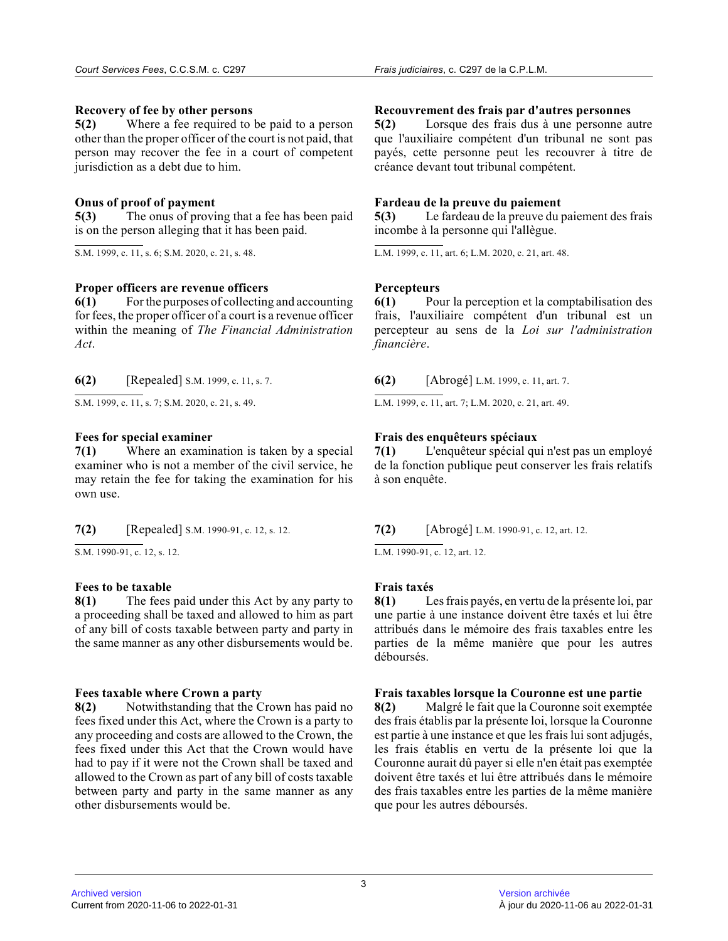### **Recovery of fee by other persons**

**5(2)** Where a fee required to be paid to a person other than the proper officer of the court is not paid, that person may recover the fee in a court of competent jurisdiction as a debt due to him.

# **Onus of proof of payment**

**5(3)** The onus of proving that a fee has been paid is on the person alleging that it has been paid.

S.M. 1999, c. 11, s. 6; S.M. 2020, c. 21, s. 48.

### **Proper officers are revenue officers**

**6(1)** For the purposes of collecting and accounting for fees, the proper officer of a court is a revenue officer within the meaning of *The Financial Administration Act* .

**6(2)** [Repealed] S.M. 1999, c. 11, s. 7.

S.M. 1999, c. 11, s. 7; S.M. 2020, c. 21, s. 49.

### **Fees for special examiner**

**7(1)** Where an examination is taken by a special examiner who is not a member of the civil service, he may retain the fee for taking the examination for his own use.

**7(2)** [Repealed] S.M. 1990-91, c. 12, s. 12.

 $\overline{S.M. 1990-91, c. 12, s. 12}.$ 

# **Fees to be taxable**

**8(1)** The fees paid under this Act by any party to a proceeding shall be taxed and allowed to him as part of any bill of costs taxable between party and party in the same manner as any other disbursements would be .

# **Fees taxable where Crown a party**

**8(2)** Notwithstanding that the Crown has paid no fees fixed under this Act, where the Crown is a party to any proceeding and costs are allowed to the Crown, the fees fixed under this Act that the Crown would have had to pay if it were not the Crown shall be taxed and allowed to the Crown as part of any bill of costs taxable between party and party in the same manner as any other disbursements would be.

### **Recouvrement des frais par d'autres personnes**

**5(2)** Lorsque des frais dus à une personne autre que l'auxiliaire compétent d'un tribunal ne sont pa s payés, cette personne peut les recouvrer à titre de créance devant tout tribunal compétent.

### **Fardeau de la preuve du paiement**

**5(3)** Le fardeau de la preuve du paiement des frais incombe à la personne qui l'allègue.

L.M. 1999, c. 11, art. 6; L.M. 2020, c. 21, art. 48 .

# **Percepteurs**

**6(1)** Pour la perception et la comptabilisation des frais, l'auxiliaire compétent d'un tribunal est un percepteur au sens de la *Loi sur l'administration financière* .

**6(2)** [Abrogé] L.M. 1999, c. 11, art. 7.

L.M. 1999, c. 11, art. 7; L.M. 2020, c. 21, art. 49 .

# **Frais des enquêteurs spéciaux**

**7(1)** L'enquêteur spécial qui n'est pas un employé de la fonction publique peut conserver les frais relatifs à son enquête.

**7(2)** [Abrogé] L.M. 1990-91, c. 12, art. 12.

L.M. 1990-91, c. 12, art. 12.

# **Frais taxés**

**8(1)** Les frais payés, en vertu de la présente loi, par une partie à une instance doivent être taxés et lui être attribués dans le mémoire des frais taxables entre les parties de la même manière que pour les autres déboursés.

# **Frais taxables lorsque la Couronne est une partie**

**8(2)** Malgré le fait que la Couronne soit exemptée des frais établis par la présente loi, lorsque la Couronne est partie à une instance et que les frais lui sont adjugés, les frais établis en vertu de la présente loi que la Couronne aurait dû payer si elle n'en était pas exemptée doivent être taxés et lui être attribués dans le mémoire des frais taxables entre les parties de la même manière que pour les autres déboursés.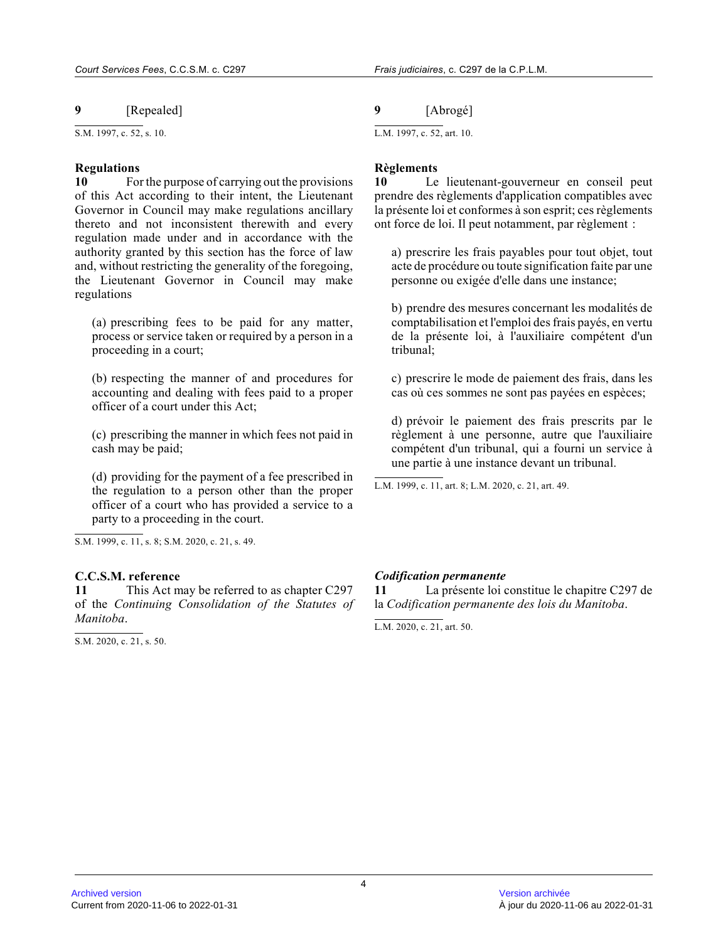# **9** [Repealed]

 $\overline{\text{S.M. 1997. c. 52. s. 10}}$ .

#### **Regulations**

**10** For the purpose of carrying out the provisions of this Act according to their intent, the Lieutenant Governor in Council may make regulations ancillary thereto and not inconsistent therewith and every regulation made under and in accordance with the authority granted by this section has the force of law and, without restricting the generality of the foregoing, the Lieutenant Governor in Council may make regulations

(a) prescribing fees to be paid for any matter, process or service taken or required by a person in a proceeding in a court;

(b) respecting the manner of and procedures for accounting and dealing with fees paid to a proper officer of a court under this Act;

(c) prescribing the manner in which fees not paid in cash may be paid;

(d) providing for the payment of a fee prescribed in the regulation to a person other than the proper officer of a court who has provided a service to a party to a proceeding in the court.

S.M. 1999, c. 11, s. 8; S.M. 2020, c. 21, s. 49.

#### **C.C.S.M. reference**

**11** This Act may be referred to as chapter C297 of the *Continuing Consolidation of the Statutes of Manitoba* .

 $S.M. 2020, c. 21, s. 50.$ 

**9** [Abrogé]

L.M. 1997, c. 52, art. 10.

### **Règlements**

**10** Le lieutenant-gouverneur en conseil peut prendre des règlements d'application compatibles ave c la présente loi et conformes à son esprit; ces règlements ont force de loi. Il peut notamment, par règlement :

a) prescrire les frais payables pour tout objet, tout acte de procédure ou toute signification faite par une personne ou exigée d'elle dans une instance;

b) prendre des mesures concernant les modalités de comptabilisation et l'emploi des frais payés, en vertu de la présente loi, à l'auxiliaire compétent d'un tribunal;

c) prescrire le mode de paiement des frais, dans les cas où ces sommes ne sont pas payées en espèces;

d) prévoir le paiement des frais prescrits par le règlement à une personne, autre que l'auxiliaire compétent d'un tribunal, qui a fourni un service à une partie à une instance devant un tribunal.

L.M. 1999, c. 11, art. 8; L.M. 2020, c. 21, art. 49 .

#### *Codification permanente*

**11** La présente loi constitue le chapitre C297 de la *Codification permanente des lois du Manitoba* .

L.M. 2020, c. 21, art. 50.